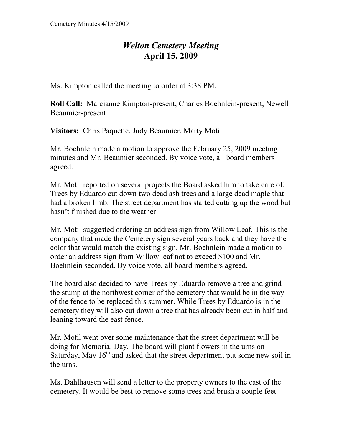## *Welton Cemetery Meeting*  **April 15, 2009**

Ms. Kimpton called the meeting to order at 3:38 PM.

**Roll Call:** Marcianne Kimpton-present, Charles Boehnlein-present, Newell Beaumier-present

**Visitors:** Chris Paquette, Judy Beaumier, Marty Motil

Mr. Boehnlein made a motion to approve the February 25, 2009 meeting minutes and Mr. Beaumier seconded. By voice vote, all board members agreed.

Mr. Motil reported on several projects the Board asked him to take care of. Trees by Eduardo cut down two dead ash trees and a large dead maple that had a broken limb. The street department has started cutting up the wood but hasn't finished due to the weather.

Mr. Motil suggested ordering an address sign from Willow Leaf. This is the company that made the Cemetery sign several years back and they have the color that would match the existing sign. Mr. Boehnlein made a motion to order an address sign from Willow leaf not to exceed \$100 and Mr. Boehnlein seconded. By voice vote, all board members agreed.

The board also decided to have Trees by Eduardo remove a tree and grind the stump at the northwest corner of the cemetery that would be in the way of the fence to be replaced this summer. While Trees by Eduardo is in the cemetery they will also cut down a tree that has already been cut in half and leaning toward the east fence.

Mr. Motil went over some maintenance that the street department will be doing for Memorial Day. The board will plant flowers in the urns on Saturday, May  $16<sup>th</sup>$  and asked that the street department put some new soil in the urns.

Ms. Dahlhausen will send a letter to the property owners to the east of the cemetery. It would be best to remove some trees and brush a couple feet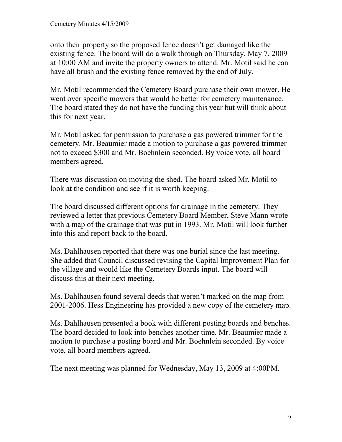onto their property so the proposed fence doesn't get damaged like the existing fence. The board will do a walk through on Thursday, May 7, 2009 at 10:00 AM and invite the property owners to attend. Mr. Motil said he can have all brush and the existing fence removed by the end of July.

Mr. Motil recommended the Cemetery Board purchase their own mower. He went over specific mowers that would be better for cemetery maintenance. The board stated they do not have the funding this year but will think about this for next year.

Mr. Motil asked for permission to purchase a gas powered trimmer for the cemetery. Mr. Beaumier made a motion to purchase a gas powered trimmer not to exceed \$300 and Mr. Boehnlein seconded. By voice vote, all board members agreed.

There was discussion on moving the shed. The board asked Mr. Motil to look at the condition and see if it is worth keeping.

The board discussed different options for drainage in the cemetery. They reviewed a letter that previous Cemetery Board Member, Steve Mann wrote with a map of the drainage that was put in 1993. Mr. Motil will look further into this and report back to the board.

Ms. Dahlhausen reported that there was one burial since the last meeting. She added that Council discussed revising the Capital Improvement Plan for the village and would like the Cemetery Boards input. The board will discuss this at their next meeting.

Ms. Dahlhausen found several deeds that weren't marked on the map from 2001-2006. Hess Engineering has provided a new copy of the cemetery map.

Ms. Dahlhausen presented a book with different posting boards and benches. The board decided to look into benches another time. Mr. Beaumier made a motion to purchase a posting board and Mr. Boehnlein seconded. By voice vote, all board members agreed.

The next meeting was planned for Wednesday, May 13, 2009 at 4:00PM.